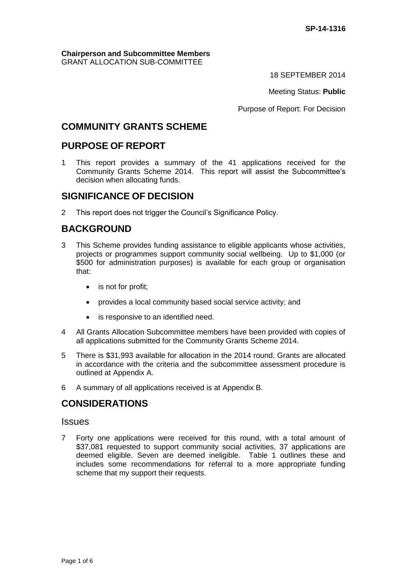### **Chairperson and Subcommittee Members** GRANT ALLOCATION SUB-COMMITTEE

18 SEPTEMBER 2014

Meeting Status: **Public**

Purpose of Report: For Decision

## **COMMUNITY GRANTS SCHEME**

## **PURPOSE OF REPORT**

1 This report provides a summary of the 41 applications received for the Community Grants Scheme 2014. This report will assist the Subcommittee's decision when allocating funds.

## **SIGNIFICANCE OF DECISION**

2 This report does not trigger the Council's Significance Policy.

## **BACKGROUND**

- 3 This Scheme provides funding assistance to eligible applicants whose activities, projects or programmes support community social wellbeing. Up to \$1,000 (or \$500 for administration purposes) is available for each group or organisation that:
	- is not for profit;
	- provides a local community based social service activity; and
	- is responsive to an identified need.
- 4 All Grants Allocation Subcommittee members have been provided with copies of all applications submitted for the Community Grants Scheme 2014.
- 5 There is \$31,993 available for allocation in the 2014 round. Grants are allocated in accordance with the criteria and the subcommittee assessment procedure is outlined at Appendix A.
- 6 A summary of all applications received is at Appendix B.

# **CONSIDERATIONS**

### **Issues**

7 Forty one applications were received for this round, with a total amount of \$37,081 requested to support community social activities, 37 applications are deemed eligible. Seven are deemed ineligible. Table 1 outlines these and includes some recommendations for referral to a more appropriate funding scheme that my support their requests.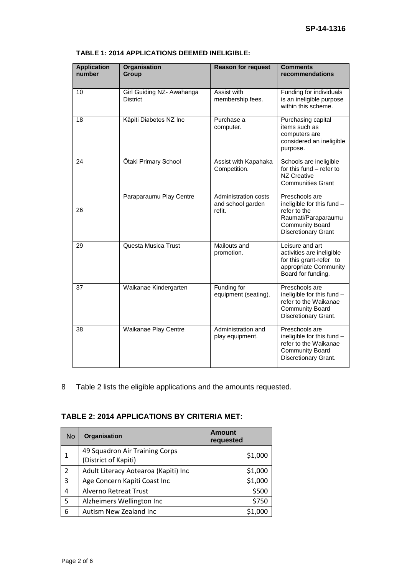| <b>Application</b><br>number | Organisation<br><b>Group</b>                 | <b>Reason for request</b>                                  | <b>Comments</b><br>recommendations                                                                                                          |
|------------------------------|----------------------------------------------|------------------------------------------------------------|---------------------------------------------------------------------------------------------------------------------------------------------|
| 10                           | Girl Guiding NZ- Awahanga<br><b>District</b> | Assist with<br>membership fees.                            | Funding for individuals<br>is an ineligible purpose<br>within this scheme.                                                                  |
| 18                           | Kāpiti Diabetes NZ Inc                       | Purchase a<br>computer.                                    | Purchasing capital<br>items such as<br>computers are<br>considered an ineligible<br>purpose.                                                |
| 24                           | Ōtaki Primary School                         | Assist with Kapahaka<br>Competition.                       | Schools are ineligible<br>for this fund - refer to<br><b>NZ Creative</b><br><b>Communities Grant</b>                                        |
| 26                           | Paraparaumu Play Centre                      | <b>Administration costs</b><br>and school garden<br>refit. | Preschools are<br>ineligible for this fund -<br>refer to the<br>Raumati/Paraparaumu<br><b>Community Board</b><br><b>Discretionary Grant</b> |
| 29                           | Questa Musica Trust                          | Mailouts and<br>promotion.                                 | Leisure and art<br>activities are ineligible<br>for this grant-refer to<br>appropriate Community<br>Board for funding.                      |
| 37                           | Waikanae Kindergarten                        | Funding for<br>equipment (seating).                        | Preschools are<br>ineligible for this fund -<br>refer to the Waikanae<br><b>Community Board</b><br>Discretionary Grant.                     |
| 38                           | Waikanae Play Centre                         | Administration and<br>play equipment.                      | Preschools are<br>ineligible for this fund -<br>refer to the Waikanae<br><b>Community Board</b><br>Discretionary Grant.                     |

### **TABLE 1: 2014 APPLICATIONS DEEMED INELIGIBLE:**

8 Table 2 lists the eligible applications and the amounts requested.

### **TABLE 2: 2014 APPLICATIONS BY CRITERIA MET:**

| No.            | Organisation                                           | <b>Amount</b><br>requested |
|----------------|--------------------------------------------------------|----------------------------|
|                | 49 Squadron Air Training Corps<br>(District of Kapiti) | \$1,000                    |
| $\overline{2}$ | Adult Literacy Aotearoa (Kapiti) Inc                   | \$1,000                    |
| 3              | Age Concern Kapiti Coast Inc                           | \$1,000                    |
| 4              | Alverno Retreat Trust                                  | \$500                      |
| 5              | Alzheimers Wellington Inc                              | \$750                      |
| 6              | Autism New Zealand Inc                                 |                            |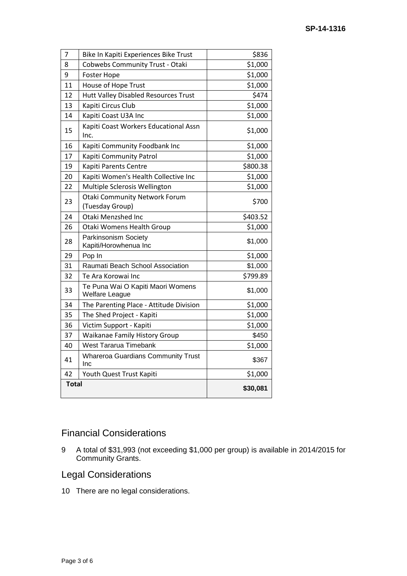| 7            | Bike In Kapiti Experiences Bike Trust                   | \$836    |
|--------------|---------------------------------------------------------|----------|
| 8            | <b>Cobwebs Community Trust - Otaki</b>                  | \$1,000  |
| 9            | <b>Foster Hope</b>                                      | \$1,000  |
| 11           | House of Hope Trust                                     | \$1,000  |
| 12           | Hutt Valley Disabled Resources Trust                    | \$474    |
| 13           | Kapiti Circus Club                                      | \$1,000  |
| 14           | Kapiti Coast U3A Inc                                    | \$1,000  |
| 15           | Kapiti Coast Workers Educational Assn<br>Inc.           | \$1,000  |
| 16           | Kapiti Community Foodbank Inc                           | \$1,000  |
| 17           | Kapiti Community Patrol                                 | \$1,000  |
| 19           | Kapiti Parents Centre                                   | \$800.38 |
| 20           | Kapiti Women's Health Collective Inc                    | \$1,000  |
| 22           | Multiple Sclerosis Wellington                           | \$1,000  |
| 23           | <b>Otaki Community Network Forum</b><br>(Tuesday Group) | \$700    |
| 24           | Otaki Menzshed Inc                                      | \$403.52 |
| 26           | Otaki Womens Health Group                               | \$1,000  |
| 28           | Parkinsonism Society<br>Kapiti/Horowhenua Inc           | \$1,000  |
| 29           | Pop In                                                  | \$1,000  |
| 31           | Raumati Beach School Association                        | \$1,000  |
| 32           | Te Ara Korowai Inc                                      | \$799.89 |
| 33           | Te Puna Wai O Kapiti Maori Womens<br>Welfare League     | \$1,000  |
| 34           | The Parenting Place - Attitude Division                 | \$1,000  |
| 35           | The Shed Project - Kapiti                               | \$1,000  |
| 36           | Victim Support - Kapiti                                 | \$1,000  |
| 37           | Waikanae Family History Group                           | \$450    |
| 40           | <b>West Tararua Timebank</b>                            | \$1,000  |
| 41           | <b>Whareroa Guardians Community Trust</b><br>Inc        | \$367    |
| 42           | Youth Quest Trust Kapiti                                | \$1,000  |
| <b>Total</b> |                                                         | \$30,081 |

# Financial Considerations

 A total of \$31,993 (not exceeding \$1,000 per group) is available in 2014/2015 for Community Grants.

# Legal Considerations

There are no legal considerations.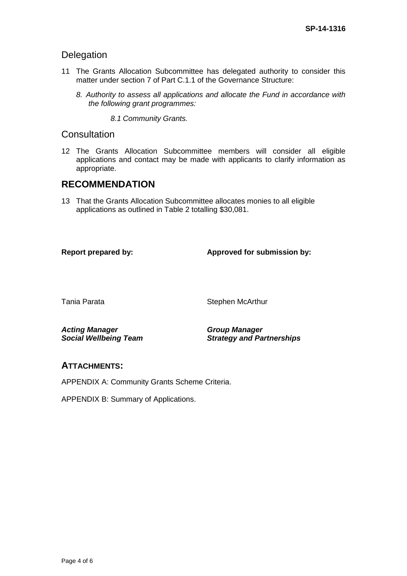## Delegation

- 11 The Grants Allocation Subcommittee has delegated authority to consider this matter under section 7 of Part C.1.1 of the Governance Structure:
	- *8. Authority to assess all applications and allocate the Fund in accordance with the following grant programmes:*

*8.1 Community Grants.*

### **Consultation**

12 The Grants Allocation Subcommittee members will consider all eligible applications and contact may be made with applicants to clarify information as appropriate.

## **RECOMMENDATION**

13 That the Grants Allocation Subcommittee allocates monies to all eligible applications as outlined in Table 2 totalling \$30,081.

**Report prepared by: Approved for submission by:**

Tania Parata **National Stephen McArthur** 

*Acting Manager Social Wellbeing Team* *Group Manager Strategy and Partnerships*

## **ATTACHMENTS:**

APPENDIX A: Community Grants Scheme Criteria.

APPENDIX B: Summary of Applications.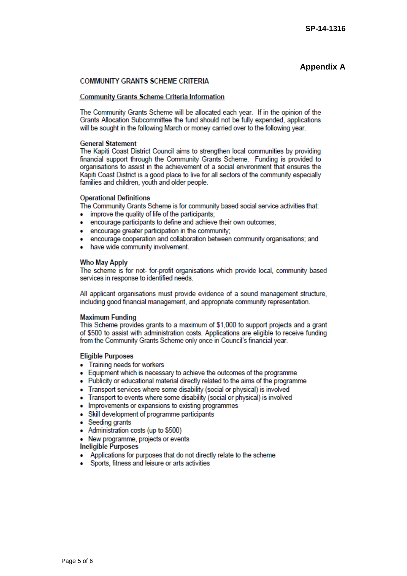### **Appendix A**

### **COMMUNITY GRANTS SCHEME CRITERIA**

#### **Community Grants Scheme Criteria Information**

The Community Grants Scheme will be allocated each year. If in the opinion of the Grants Allocation Subcommittee the fund should not be fully expended, applications will be sought in the following March or money carried over to the following year.

#### **General Statement**

The Kapiti Coast District Council aims to strengthen local communities by providing financial support through the Community Grants Scheme. Funding is provided to organisations to assist in the achievement of a social environment that ensures the Kapiti Coast District is a good place to live for all sectors of the community especially families and children, youth and older people.

#### **Operational Definitions**

The Community Grants Scheme is for community based social service activities that:

- improve the quality of life of the participants; ٠
- . encourage participants to define and achieve their own outcomes:
- . encourage greater participation in the community:
- encourage cooperation and collaboration between community organisations; and
- have wide community involvement.

#### **Who May Apply**

The scheme is for not- for-profit organisations which provide local, community based services in response to identified needs.

All applicant organisations must provide evidence of a sound management structure. including good financial management, and appropriate community representation.

### **Maximum Funding**

This Scheme provides grants to a maximum of \$1,000 to support projects and a grant of \$500 to assist with administration costs. Applications are eligible to receive funding from the Community Grants Scheme only once in Council's financial year.

### **Eligible Purposes**

- Training needs for workers
- Equipment which is necessary to achieve the outcomes of the programme
- . Publicity or educational material directly related to the aims of the programme
- Transport services where some disability (social or physical) is involved
- Transport to events where some disability (social or physical) is involved
- Improvements or expansions to existing programmes
- Skill development of programme participants
- Seeding grants
- Administration costs (up to \$500)
- New programme, projects or events

### Ineligible Purposes

- Applications for purposes that do not directly relate to the scheme
- Sports, fitness and leisure or arts activities